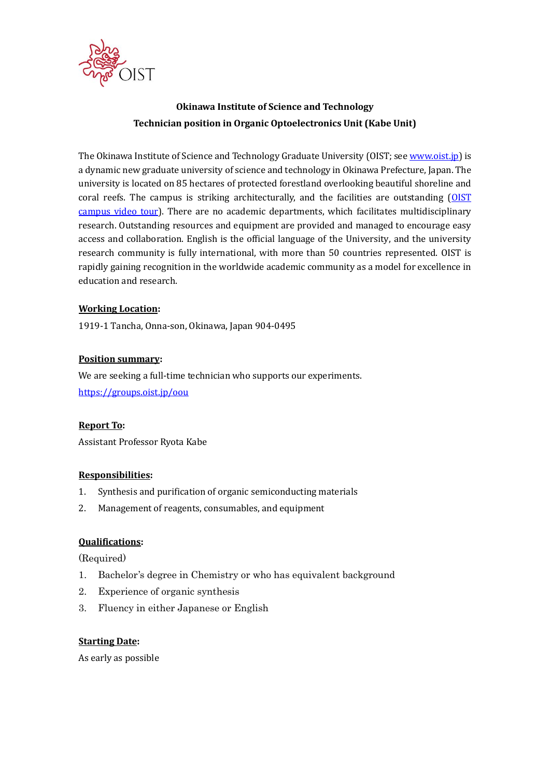

# **Okinawa Institute of Science and Technology Technician position in Organic Optoelectronics Unit (Kabe Unit)**

The Okinawa Institute of Science and Technology Graduate University (OIST; se[e www.oist.jp\)](http://www.oist.jp/) is a dynamic new graduate university of science and technology in Okinawa Prefecture, Japan. The university is located on 85 hectares of protected forestland overlooking beautiful shoreline and coral reefs. The campus is striking architecturally, and the facilities are outstanding (OIST [campus video tour\)](https://youtu.be/OLeylXbZDpo). There are no academic departments, which facilitates multidisciplinary research. Outstanding resources and equipment are provided and managed to encourage easy access and collaboration. English is the official language of the University, and the university research community is fully international, with more than 50 countries represented. OIST is rapidly gaining recognition in the worldwide academic community as a model for excellence in education and research.

## **Working Location:**

1919-1 Tancha, Onna-son, Okinawa, Japan 904-0495

## **Position summary:**

We are seeking a full-time technician who supports our experiments. <https://groups.oist.jp/oou>

# **Report To:**

Assistant Professor Ryota Kabe

# **Responsibilities:**

- 1. Synthesis and purification of organic semiconducting materials
- 2. Management of reagents, consumables, and equipment

#### **Qualifications:**

(Required)

- 1. Bachelor's degree in Chemistry or who has equivalent background
- 2. Experience of organic synthesis
- 3. Fluency in either Japanese or English

#### **Starting Date:**

As early as possible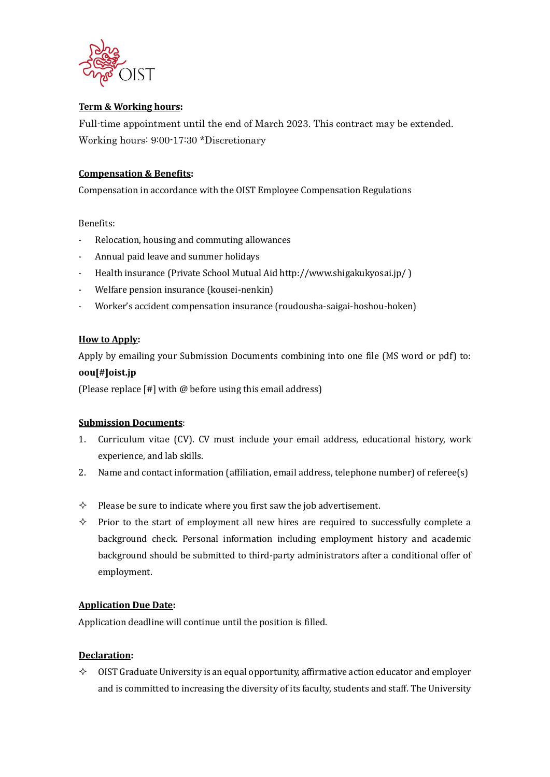

# **Term & Working hours:**

Full-time appointment until the end of March 2023. This contract may be extended. Working hours: 9:00-17:30 \*Discretionary

# **Compensation & Benefits:**

Compensation in accordance with the OIST Employee Compensation Regulations

Benefits:

- Relocation, housing and commuting allowances
- Annual paid leave and summer holidays
- Health insurance (Private School Mutual Aid http://www.shigakukyosai.jp/ )
- Welfare pension insurance (kousei-nenkin)
- Worker's accident compensation insurance (roudousha-saigai-hoshou-hoken)

# **How to Apply:**

Apply by emailing your Submission Documents combining into one file (MS word or pdf) to: **oou[#]oist.jp** 

(Please replace  $[\#]$  with  $\omega$  before using this email address)

# **Submission Documents**:

- 1. Curriculum vitae (CV). CV must include your email address, educational history, work experience, and lab skills.
- 2. Name and contact information (affiliation, email address, telephone number) of referee(s)
- $\Diamond$  Please be sure to indicate where you first saw the job advertisement.
- $\Diamond$  Prior to the start of employment all new hires are required to successfully complete a background check. Personal information including employment history and academic background should be submitted to third-party administrators after a conditional offer of employment.

# **Application Due Date:**

Application deadline will continue until the position is filled.

# **Declaration:**

 $\Diamond$  OIST Graduate University is an equal opportunity, affirmative action educator and employer and is committed to increasing the diversity of its faculty, students and staff. The University